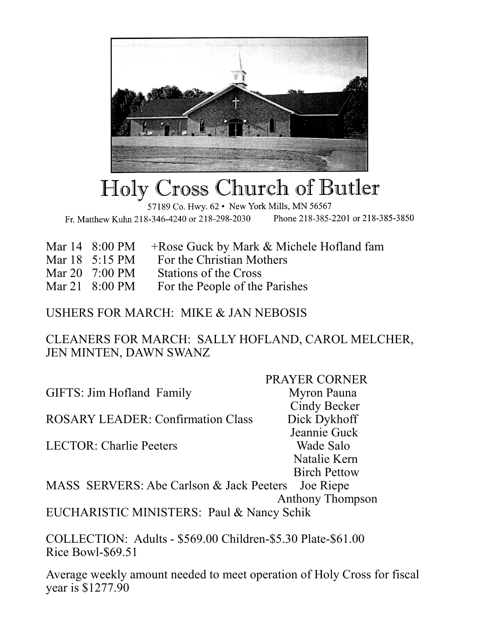

## ross Church of Butler'. Holy (

57189 Co. Hwy. 62 . New York Mills, MN 56567 Fr. Matthew Kuhn 218-346-4240 or 218-298-2030 Phone 218-385-2201 or 218-385-3850

|                          | Mar $14 \quad 8:00 \text{ PM} \quad + \text{Rose}$ Guck by Mark & Michele Hofland fam |
|--------------------------|---------------------------------------------------------------------------------------|
| Mar $18 \t 5:15 \t PM$   | For the Christian Mothers                                                             |
| Mar 20 $7:00 \text{ PM}$ | Stations of the Cross                                                                 |
|                          | Mar 21 8:00 PM For the People of the Parishes                                         |

USHERS FOR MARCH: MIKE & JAN NEBOSIS

CLEANERS FOR MARCH: SALLY HOFLAND, CAROL MELCHER, JEN MINTEN, DAWN SWANZ

 PRAYER CORNER GIFTS: Jim Hofland Family Myron Pauna Cindy Becker ROSARY LEADER: Confirmation Class Dick Dykhoff Jeannie Guck LECTOR: Charlie Peeters Wade Salo Natalie Kern Birch Pettow MASS SERVERS: Abe Carlson & Jack Peeters Joe Riepe Anthony Thompson

EUCHARISTIC MINISTERS: Paul & Nancy Schik

COLLECTION: Adults - \$569.00 Children-\$5.30 Plate-\$61.00 Rice Bowl-\$69.51

Average weekly amount needed to meet operation of Holy Cross for fiscal year is \$1277.90